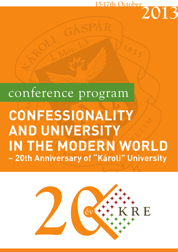## **15-17th October**

## conference program **CONFESSIONALITY AND UNIVERSITY IN THE MODERN WORLD – 20th Anniversary of "Károli" University**

GÁSPÁR

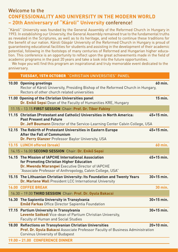## Welcome to the **CONFESSIONALITY AND UNIVERSITY IN THE MODERN WORLD – 20th Anniversary of "Károli" University** conference!

"Károli" University was founded by the General Assembly of the Reformed Church in Hungary in 1993. In establishing our University, the General Assembly remained true to the fundamental truths as revealed in the Scriptures, as well as to its heritage, and voted to continue these traditions for the benefit of our nation. Károli Gáspár University of the Reformed Church in Hungary is proud of guaranteeing educational facilities for students and assisting in the development of their academic potential; following in the footsteps of many centuries of Reformed and Hungarian higher education. This conference is an opportunity to reflect upon the great achievements made in the field of academic programs in the past 20 years and take a look into the future opportunities.

We hope you will find this program an inspirational and truly memorable event dedicated to the anniversary.

## TUESDAY, 15TH OCTOBER "CHRISTIAN UNIVERSITIES" PANEL

| 10.00 Opening greetings                                                                                                                                                                                              | 60 min.        |  |
|----------------------------------------------------------------------------------------------------------------------------------------------------------------------------------------------------------------------|----------------|--|
| Rector of Károli University, Presiding Bishop of the Reformed Church in Hungary,<br>Rectors of other church related universities                                                                                     |                |  |
| 11.00 Opening of the Christian Universities panel<br>Dr. Enikő Sepsi Dean of the Faculty of Humanities KRE, Hungary                                                                                                  | 15 min.        |  |
| 11.15 - 13.15 FIRST SESSION Chair: Prof. Dr. Tibor Fabiny                                                                                                                                                            |                |  |
| 11.15 Christian (Protestant and Catholic) Universities in North America:<br><b>Past Present and Future</b><br>Dr. Jeff Boumann Director of the Service-Learning Center Calvin College, USA                           | $45+15$ min.   |  |
| 12.15 The Rebirth of Protestant Universities in Eastern Europe<br><b>After the Fall of Communism</b><br>Dr. Perry Glanzer Professor Baylor University, USA                                                           | 45+15 min.     |  |
| 13.15 LUNCH offered (break)                                                                                                                                                                                          | <b>60 min.</b> |  |
| 14.15 - 16.00 SECOND SESSION Chair: Dr. Enikő Sepsi                                                                                                                                                                  |                |  |
| 14.15 The Mission of IAPCHE International Association<br>for Promoting Christian Higher Education<br>Dr. Mwenda Ntarangwi Executive Director of IAPCHE<br>"Associate Professor of Anthropology, Calvin College, USA" | $45+15$ min.   |  |
| 15.15 The Lithuanian Christian University: Its Foundation and Twenty Years<br>Dr. Marlene Wall President LCC International University                                                                                | $30+15$ min.   |  |
| <b>16.00 COFFEE BREAK</b>                                                                                                                                                                                            | 30 min.        |  |
| 16.30 - 19.00 THIRD SESSION Chair: Prof. Dr. Gyula Bakacsi                                                                                                                                                           |                |  |
| 16.30 The Sapientia University in Transylvania<br>Emőd Farkas Office Director Sapientia Foundation                                                                                                                   | $30+15$ min.   |  |
| 17.15 Partium University in Transylvania<br>Levente Székedi Vice-dean of Partium Christian University,<br><b>Faculty of Human and Social Studies</b>                                                                 | $30+15$ min.   |  |
| 18.00 Reflections on Transylvanian Christian Universities<br>Prof. Dr. Gyula Bakacsi Associate Professor Faculty of Business Administration<br>Corvinus University of Budapest                                       | 20+10 min.     |  |
| 19.00 - 21.00 CONFERENCE DINNER                                                                                                                                                                                      |                |  |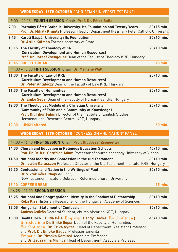|      | <b>WEDNESDAY, 16TH OCTOBER "CHRISTIAN UNIVERSITIES" PANEL</b>                                                                                                                                                                                                                                                                                                                                  |              |
|------|------------------------------------------------------------------------------------------------------------------------------------------------------------------------------------------------------------------------------------------------------------------------------------------------------------------------------------------------------------------------------------------------|--------------|
|      | 9.00 - 10.15 FOURTH SESSION Chair: Prof. Dr. Péter Balla                                                                                                                                                                                                                                                                                                                                       |              |
| 9.00 | Pázmány Péter Catholic University: Its Foundation and Twenty Years<br>Prof. Dr. Mihály Kránitz Professor, Head of Department (Pázmány Péter Catholic University)                                                                                                                                                                                                                               | $30+15$ min. |
| 9.45 | Károli Gáspár University: Its Foundation<br>Dr. Attila Kálmán Former secretary of State                                                                                                                                                                                                                                                                                                        | $20+10$ min. |
|      | 10.15 The Faculty of Theology of KRE<br>(Curriculum Development and Human Resources)<br>Prof. Dr. József Zsengellér Dean of the Faculty of Theology KRE, Hungary                                                                                                                                                                                                                               | $20+10$ min. |
|      | 10.45 COFFEE BREAK                                                                                                                                                                                                                                                                                                                                                                             | $15$ min.    |
|      | 11.00 - 13.00 FIFTH SESSION Chair: Dr. Marlene Wall                                                                                                                                                                                                                                                                                                                                            |              |
|      | 11.00 The Faculty of Law of KRE<br>(Curriculum Development and Human Resources)<br>Dr. Péter Antalóczy Dean of the Faculty of Law KRE, Hungary                                                                                                                                                                                                                                                 | $20+10$ min. |
|      | 11.30 The Faculty of Humanities<br>(Curriculum Development and Human Resources)<br>Dr. Enikő Sepsi Dean of the Faculty of Humanities KRE, Hungary                                                                                                                                                                                                                                              | $20+10$ min. |
|      | 12.00 The Theological Models of a Christian University<br>(Community of Faith and a Community of Knowledge)<br>Prof. Dr. Tibor Fabiny Director of the Institute of English Studies,<br>Hermeneutical Research Centre, KRE, Hungary                                                                                                                                                             | $20+10$ min. |
|      | 12.30 LUNCH offered                                                                                                                                                                                                                                                                                                                                                                            | 60 min.      |
|      | <b>WEDNESDAY, 16TH OCTOBER "CONFESSION AND NATION" PANEL</b>                                                                                                                                                                                                                                                                                                                                   |              |
|      | 14.00 - 16.10 FIRST SESSION Chair: Prof. Dr. József Zsengellér                                                                                                                                                                                                                                                                                                                                 |              |
|      | 14.00 Church and Education in Religious Education Schools<br>Prof. Dr. Dr. h.c. Gottfried Adam Professor of church pedagogy University of Vienna                                                                                                                                                                                                                                               | $40+10$ min. |
|      | 14.50 National Identity and Confession in the Old Testament<br>Dr. István Karasszon Professor, Director of the Old Testament Institute KRE, Hungary                                                                                                                                                                                                                                            | $30+10$ min. |
|      | 15.30 Confession and Nation in the Writings of Paul<br>Dr. Viktor Kókai Nagy Adjunct,<br>New Testament Institute Debrecen Reformed Church University                                                                                                                                                                                                                                           | $30+10$ min. |
|      | <b>16.10 COFFEE BREAK</b>                                                                                                                                                                                                                                                                                                                                                                      | 15 min.      |
|      | 16.25 - 19.00 SECOND SESSION                                                                                                                                                                                                                                                                                                                                                                   |              |
|      | 16.25 National and Congregational Identity in the Shadow of Dictatorship<br>Réka Kiss Historian Researcher of the Hungarian Academy of Sciences                                                                                                                                                                                                                                                | 30+10 min.   |
|      | 17.05 Hungarian Statement of Confession<br>András Csűrös Doctoral Student, church historian KRE, Hungary                                                                                                                                                                                                                                                                                       | 30+10 min.   |
|      | 18.00 Booklaunch:   Buda Béla: Empátia   Bagdy Emőke: Pszichofitness  <br>Introduction: Dr. Enikő Sepsi Dean of the Faculty of Humanities<br>Pszichofitness: Dr. Erika Nyitrai Head of Department, Assistant Professor<br>and Prof. Dr. Emőke Bagdy Professor Emerita<br>Empátia: Dr. Piroska Komlósi Associate Professor<br>and Dr. Zsuzsanna Mirnics Head of Department, Associate Professor | $45+10$ min. |